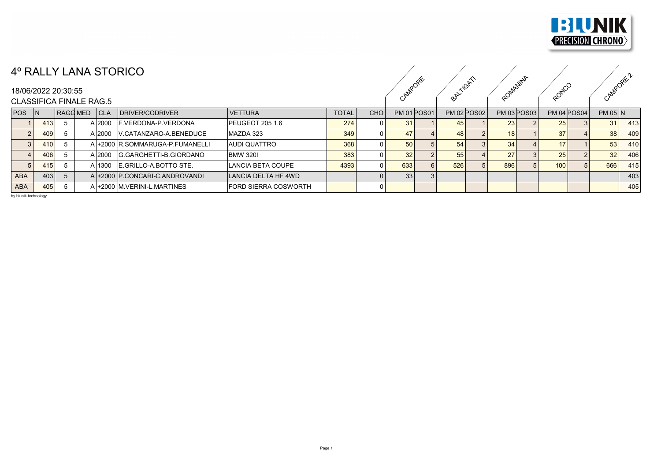

## 4º RALLY LANA STORICO

## 18/06/2022 20:30:55

|                                                       |     | TV LET ENVIOIUINO |        |                                 |                             |              |            |                    |  |            |                    |                    |                    |                 | <b>REV</b> |
|-------------------------------------------------------|-----|-------------------|--------|---------------------------------|-----------------------------|--------------|------------|--------------------|--|------------|--------------------|--------------------|--------------------|-----------------|------------|
| 18/06/2022 20:30:55<br><b>CLASSIFICA FINALE RAG.5</b> |     |                   |        |                                 |                             |              | ROPEE      | $\alpha^{\aleph}$  |  | Onlatiniza | adNu               |                    |                    |                 |            |
| $POS$ $ N $                                           |     | $RAGGMED$ $ CLA$  |        | DRIVER/CODRIVER                 | <b>VETTURA</b>              | <b>TOTAL</b> | <b>CHO</b> | <b>PM 01 POS01</b> |  |            | <b>PM 02 POS02</b> | <b>PM 03 POS03</b> | <b>PM 04 POS04</b> | $PM$ 05 $N$     |            |
|                                                       | 413 |                   | A 2000 | F.VERDONA-P.VERDONA             | <b>PEUGEOT 205 1.6</b>      | 274          |            | 31                 |  |            |                    | 23 l               | 25                 | 31              | 413        |
|                                                       | 409 |                   | A 2000 | V.CATANZARO-A.BENEDUCE          | MAZDA 323                   | 349          |            |                    |  | 48         |                    | 18 <sup>1</sup>    | 37                 | 38 <sub>1</sub> | 409        |
|                                                       | 410 |                   |        | A +2000 R.SOMMARUGA-P.FUMANELLI | <b>AUDI QUATTRO</b>         | 368          |            | 50 <sup>1</sup>    |  | 54         |                    | 34                 | 17                 | 53              | 410        |
|                                                       | 406 |                   | A 2000 | G.GARGHETTI-B.GIORDANO          | <b>BMW 3201</b>             | 383          |            | 32 <sub>1</sub>    |  | 55         |                    | 27                 | 25                 | 32              | 406        |
|                                                       | 415 |                   | A 1300 | E.GRILLO-A.BOTTO STE.           | LANCIA BETA COUPE           | 4393         |            | 633                |  | 526        |                    | 896                | 100                | 666             | 415        |
| ABA                                                   | 403 |                   |        | A +2000 P.CONCARI-C.ANDROVANDI  | LANCIA DELTA HF 4WD         |              |            | 33 <sup>1</sup>    |  |            |                    |                    |                    |                 | 403        |
| <b>ABA</b>                                            | 405 |                   |        | A +2000 M.VERINI-L.MARTINES     | <b>FORD SIERRA COSWORTH</b> |              |            |                    |  |            |                    |                    |                    |                 | 405        |

by blunik technology